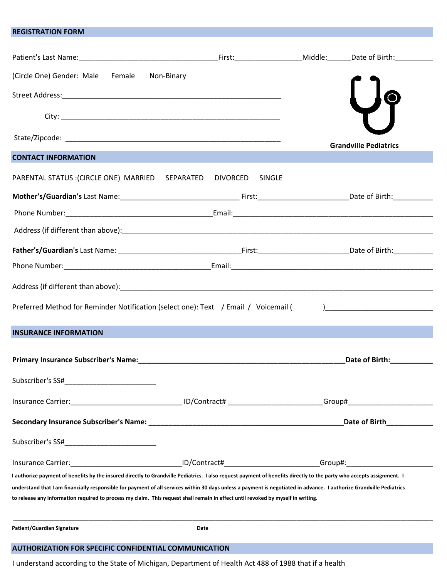## REGISTRATION FORM

| (Circle One) Gender: Male Female<br>Non-Binary                                                                                                                                                                                                                                                           |  |                                                                                                                                                                                                                                                                                                                                                                             |
|----------------------------------------------------------------------------------------------------------------------------------------------------------------------------------------------------------------------------------------------------------------------------------------------------------|--|-----------------------------------------------------------------------------------------------------------------------------------------------------------------------------------------------------------------------------------------------------------------------------------------------------------------------------------------------------------------------------|
|                                                                                                                                                                                                                                                                                                          |  |                                                                                                                                                                                                                                                                                                                                                                             |
|                                                                                                                                                                                                                                                                                                          |  |                                                                                                                                                                                                                                                                                                                                                                             |
|                                                                                                                                                                                                                                                                                                          |  | <b>Grandville Pediatrics</b>                                                                                                                                                                                                                                                                                                                                                |
| <b>CONTACT INFORMATION</b>                                                                                                                                                                                                                                                                               |  |                                                                                                                                                                                                                                                                                                                                                                             |
| PARENTAL STATUS : (CIRCLE ONE) MARRIED SEPARATED DIVORCED SINGLE                                                                                                                                                                                                                                         |  |                                                                                                                                                                                                                                                                                                                                                                             |
|                                                                                                                                                                                                                                                                                                          |  |                                                                                                                                                                                                                                                                                                                                                                             |
|                                                                                                                                                                                                                                                                                                          |  |                                                                                                                                                                                                                                                                                                                                                                             |
|                                                                                                                                                                                                                                                                                                          |  |                                                                                                                                                                                                                                                                                                                                                                             |
|                                                                                                                                                                                                                                                                                                          |  |                                                                                                                                                                                                                                                                                                                                                                             |
|                                                                                                                                                                                                                                                                                                          |  |                                                                                                                                                                                                                                                                                                                                                                             |
|                                                                                                                                                                                                                                                                                                          |  |                                                                                                                                                                                                                                                                                                                                                                             |
| Preferred Method for Reminder Notification (select one): Text / Email / Voicemail (                                                                                                                                                                                                                      |  | $\begin{picture}(20,10) \put(0,0){\vector(1,0){10}} \put(15,0){\vector(1,0){10}} \put(15,0){\vector(1,0){10}} \put(15,0){\vector(1,0){10}} \put(15,0){\vector(1,0){10}} \put(15,0){\vector(1,0){10}} \put(15,0){\vector(1,0){10}} \put(15,0){\vector(1,0){10}} \put(15,0){\vector(1,0){10}} \put(15,0){\vector(1,0){10}} \put(15,0){\vector(1,0){10}} \put(15,0){\vector(1$ |
| <b>INSURANCE INFORMATION</b>                                                                                                                                                                                                                                                                             |  |                                                                                                                                                                                                                                                                                                                                                                             |
|                                                                                                                                                                                                                                                                                                          |  | Date of Birth:____________                                                                                                                                                                                                                                                                                                                                                  |
| Subscriber's SS#                                                                                                                                                                                                                                                                                         |  |                                                                                                                                                                                                                                                                                                                                                                             |
|                                                                                                                                                                                                                                                                                                          |  |                                                                                                                                                                                                                                                                                                                                                                             |
| Secondary Insurance Subscriber's Name: Name: Name and Secondary Secondary Insurance Subscriber 2014                                                                                                                                                                                                      |  | Date of Birth <b>Exercise Services</b>                                                                                                                                                                                                                                                                                                                                      |
| Subscriber's SS#_____________________________                                                                                                                                                                                                                                                            |  |                                                                                                                                                                                                                                                                                                                                                                             |
|                                                                                                                                                                                                                                                                                                          |  |                                                                                                                                                                                                                                                                                                                                                                             |
| I authorize payment of benefits by the insured directly to Grandville Pediatrics. I also request payment of benefits directly to the party who accepts assignment. I                                                                                                                                     |  |                                                                                                                                                                                                                                                                                                                                                                             |
| understand that I am financially responsible for payment of all services within 30 days unless a payment is negotiated in advance. I authorize Grandville Pediatrics<br>to release any information required to process my claim. This request shall remain in effect until revoked by myself in writing. |  |                                                                                                                                                                                                                                                                                                                                                                             |
| Patient/Guardian Signature<br>Date                                                                                                                                                                                                                                                                       |  |                                                                                                                                                                                                                                                                                                                                                                             |
| <b>AUTHORIZATION FOR SPECIFIC CONFIDENTIAL COMMUNICATION</b>                                                                                                                                                                                                                                             |  |                                                                                                                                                                                                                                                                                                                                                                             |

I understand according to the State of Michigan, Department of Health Act 488 of 1988 that if a health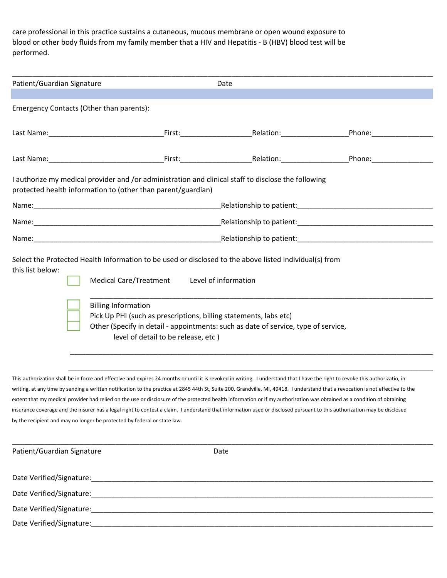care professional in this practice sustains a cutaneous, mucous membrane or open wound exposure to blood or other body fluids from my family member that a HIV and Hepatitis - B (HBV) blood test will be performed.

| Emergency Contacts (Other than parents):                                                                                                                            |                                                                                                                  |                                                                                                                           |                                                                                                                                                                                                                                |
|---------------------------------------------------------------------------------------------------------------------------------------------------------------------|------------------------------------------------------------------------------------------------------------------|---------------------------------------------------------------------------------------------------------------------------|--------------------------------------------------------------------------------------------------------------------------------------------------------------------------------------------------------------------------------|
|                                                                                                                                                                     |                                                                                                                  |                                                                                                                           |                                                                                                                                                                                                                                |
|                                                                                                                                                                     |                                                                                                                  |                                                                                                                           | Phone: National Phone: National Phone: National Phone: National Phone Phone Phone Phone Phone Phone Phone Phone Phone Phone Phone Phone Phone Phone Phone Phone Phone Phone Phone Phone Phone Phone Phone Phone Phone Phone Ph |
|                                                                                                                                                                     |                                                                                                                  |                                                                                                                           |                                                                                                                                                                                                                                |
| I authorize my medical provider and /or administration and clinical staff to disclose the following<br>protected health information to (other than parent/guardian) |                                                                                                                  |                                                                                                                           |                                                                                                                                                                                                                                |
|                                                                                                                                                                     |                                                                                                                  |                                                                                                                           |                                                                                                                                                                                                                                |
|                                                                                                                                                                     |                                                                                                                  |                                                                                                                           |                                                                                                                                                                                                                                |
|                                                                                                                                                                     |                                                                                                                  |                                                                                                                           |                                                                                                                                                                                                                                |
| Select the Protected Health Information to be used or disclosed to the above listed individual(s) from<br>this list below:<br><b>Billing Information</b>            | Medical Care/Treatment Level of information<br>Pick Up PHI (such as prescriptions, billing statements, labs etc) | Other (Specify in detail - appointments: such as date of service, type of service,<br>level of detail to be release, etc) |                                                                                                                                                                                                                                |

by the recipient and may no longer be protected by federal or state law.

| Patient/Guardian Signature                                                                                    | Date |  |
|---------------------------------------------------------------------------------------------------------------|------|--|
| Date Verified/Signature: National Accounts of the Contract of the Contract of the Contract of the Contract of |      |  |
|                                                                                                               |      |  |
|                                                                                                               |      |  |
| Date Verified/Signature:                                                                                      |      |  |